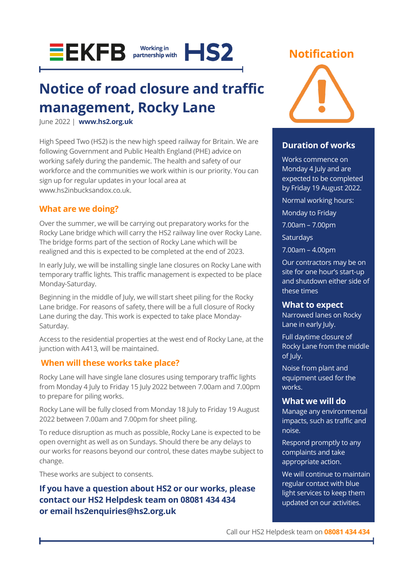

## **Notice of road closure and traffic management, Rocky Lane**

June 2022 | **[www.hs2.org.uk](http://www.hs2.org.uk/)**

High Speed Two (HS2) is the new high speed railway for Britain. We are following Government and Public Health England (PHE) advice on working safely during the pandemic. The health and safety of our workforce and the communities we work within is our priority. You can sign up for regular updates in your local area at www.hs2inbucksandox.co.uk.

### **What are we doing?**

Over the summer, we will be carrying out preparatory works for the Rocky Lane bridge which will carry the HS2 railway line over Rocky Lane. The bridge forms part of the section of Rocky Lane which will be realigned and this is expected to be completed at the end of 2023.

In early July, we will be installing single lane closures on Rocky Lane with temporary traffic lights. This traffic management is expected to be place Monday-Saturday.

Beginning in the middle of July, we will start sheet piling for the Rocky Lane bridge. For reasons of safety, there will be a full closure of Rocky Lane during the day. This work is expected to take place Monday-Saturday.

Access to the residential properties at the west end of Rocky Lane, at the junction with A413, will be maintained.

### **When will these works take place?**

Rocky Lane will have single lane closures using temporary traffic lights from Monday 4 July to Friday 15 July 2022 between 7.00am and 7.00pm to prepare for piling works.

Rocky Lane will be fully closed from Monday 18 July to Friday 19 August 2022 between 7.00am and 7.00pm for sheet piling.

To reduce disruption as much as possible, Rocky Lane is expected to be open overnight as well as on Sundays. Should there be any delays to our works for reasons beyond our control, these dates maybe subject to change.

These works are subject to consents.

### **If you have a question about HS2 or our works, please contact our HS2 Helpdesk team on 08081 434 434 or email hs2enquiries@hs2.org.uk**

### **Notification**



### **Duration of works**

Works commence on Monday 4 July and are expected to be completed by Friday 19 August 2022.

Normal working hours:

Monday to Friday

7.00am – 7.00pm

**Saturdays** 

7.00am – 4.00pm

Our contractors may be on site for one hour's start-up and shutdown either side of these times

### **What to expect**

Narrowed lanes on Rocky Lane in early July.

Full daytime closure of Rocky Lane from the middle of July.

Noise from plant and equipment used for the works.

### **What we will do**

Manage any environmental impacts, such as traffic and noise.

Respond promptly to any complaints and take appropriate action.

We will continue to maintain regular contact with blue light services to keep them updated on our activities.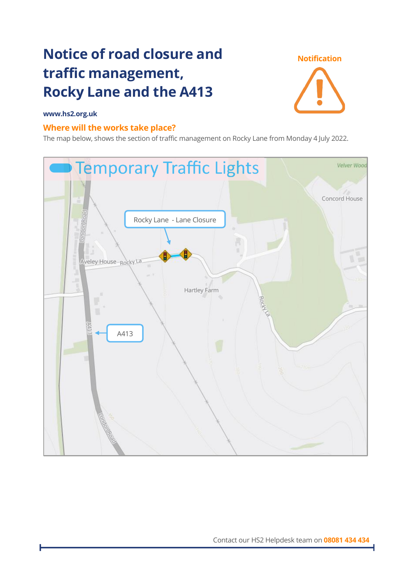## **Notice of road closure and traffic management, Rocky Lane and the A413**

**Notification**

#### **www.hs2.org.uk**

### **Where will the works take place?**

The map below, shows the section of traffic management on Rocky Lane from Monday 4 July 2022.

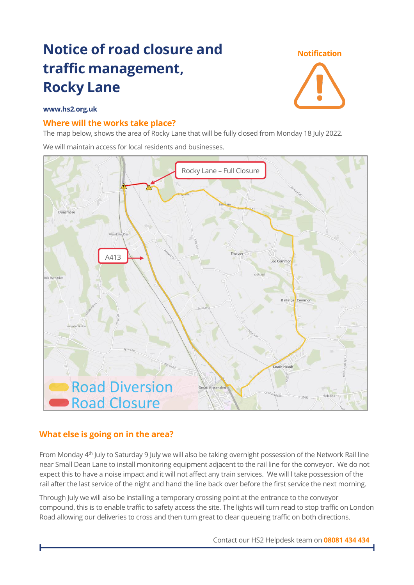## **Notice of road closure and traffic management, Rocky Lane**

# **Notification**

#### **www.hs2.org.uk**

### **Where will the works take place?**

The map below, shows the area of Rocky Lane that will be fully closed from Monday 18 July 2022.

We will maintain access for local residents and businesses.



### **What else is going on in the area?**

From Monday 4th July to Saturday 9 July we will also be taking overnight possession of the Network Rail line near Small Dean Lane to install monitoring equipment adjacent to the rail line for the conveyor. We do not expect this to have a noise impact and it will not affect any train services. We will l take possession of the rail after the last service of the night and hand the line back over before the first service the next morning.

Through July we will also be installing a temporary crossing point at the entrance to the conveyor compound, this is to enable traffic to safety access the site. The lights will turn read to stop traffic on London Road allowing our deliveries to cross and then turn great to clear queueing traffic on both directions.

Contact our HS2 Helpdesk team on **08081 434 434**